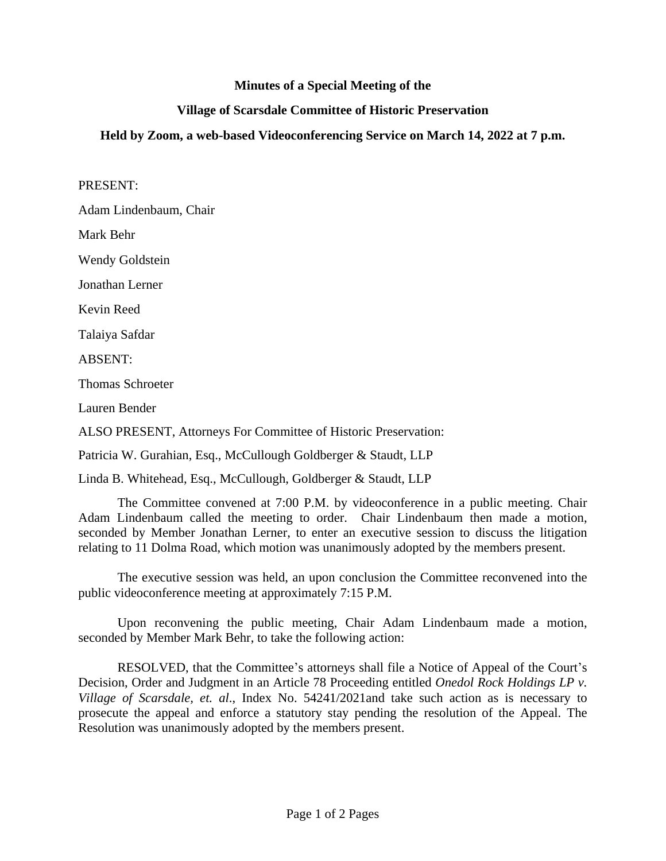## **Minutes of a Special Meeting of the**

## **Village of Scarsdale Committee of Historic Preservation**

## **Held by Zoom, a web-based Videoconferencing Service on March 14, 2022 at 7 p.m.**

PRESENT:

Adam Lindenbaum, Chair

Mark Behr

Wendy Goldstein

Jonathan Lerner

Kevin Reed

Talaiya Safdar

ABSENT:

Thomas Schroeter

Lauren Bender

ALSO PRESENT, Attorneys For Committee of Historic Preservation:

Patricia W. Gurahian, Esq., McCullough Goldberger & Staudt, LLP

Linda B. Whitehead, Esq., McCullough, Goldberger & Staudt, LLP

The Committee convened at 7:00 P.M. by videoconference in a public meeting. Chair Adam Lindenbaum called the meeting to order. Chair Lindenbaum then made a motion, seconded by Member Jonathan Lerner, to enter an executive session to discuss the litigation relating to 11 Dolma Road, which motion was unanimously adopted by the members present.

The executive session was held, an upon conclusion the Committee reconvened into the public videoconference meeting at approximately 7:15 P.M.

Upon reconvening the public meeting, Chair Adam Lindenbaum made a motion, seconded by Member Mark Behr, to take the following action:

RESOLVED, that the Committee's attorneys shall file a Notice of Appeal of the Court's Decision, Order and Judgment in an Article 78 Proceeding entitled *Onedol Rock Holdings LP v. Village of Scarsdale, et. al*., Index No. 54241/2021and take such action as is necessary to prosecute the appeal and enforce a statutory stay pending the resolution of the Appeal. The Resolution was unanimously adopted by the members present.